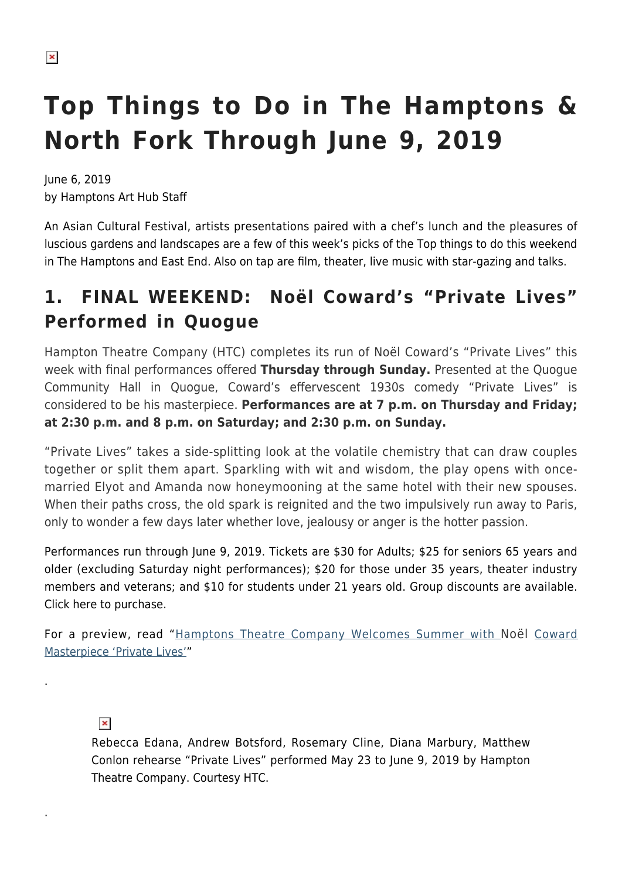# **Top Things to Do in The Hamptons & North Fork Through June 9, 2019**

June 6, 2019 by Hamptons Art Hub Staff

An Asian Cultural Festival, artists presentations paired with a chef's lunch and the pleasures of luscious gardens and landscapes are a few of this week's picks of the Top things to do this weekend in The Hamptons and East End. Also on tap are film, theater, live music with star-gazing and talks.

## **1. FINAL WEEKEND: Noël Coward's "Private Lives" Performed in Quogue**

Hampton Theatre Company (HTC) completes its run of Noël Coward's "Private Lives" this week with final performances offered **Thursday through Sunday.** Presented at the Quogue Community Hall in Quogue, Coward's effervescent 1930s comedy "Private Lives" is considered to be his masterpiece. **Performances are at 7 p.m. on Thursday and Friday; at 2:30 p.m. and 8 p.m. on Saturday; and 2:30 p.m. on Sunday.**

"Private Lives" takes a side-splitting look at the volatile chemistry that can draw couples together or split them apart. Sparkling with wit and wisdom, the play opens with oncemarried Elyot and Amanda now honeymooning at the same hotel with their new spouses. When their paths cross, the old spark is reignited and the two impulsively run away to Paris, only to wonder a few days later whether love, jealousy or anger is the hotter passion.

Performances run through June 9, 2019. Tickets are \$30 for Adults; \$25 for seniors 65 years and older (excluding Saturday night performances); \$20 for those under 35 years, theater industry members and veterans; and \$10 for students under 21 years old. Group discounts are available. Click here to purchase.

For a preview, read "[Hamptons Theatre Company Welcomes Summer with](https://hamptonsarthub.com/2019/05/21/events-hampton-theatre-company-welcomes-summer-with-noel-cowards-private-lives/) [Noël](https://hamptonsarthub.com/2019/05/21/events-hampton-theatre-company-welcomes-summer-with-noel-cowards-private-lives/) [Coward](https://hamptonsarthub.com/2019/05/21/events-hampton-theatre-company-welcomes-summer-with-noel-cowards-private-lives/) [Masterpiece 'Private Lives'"](https://hamptonsarthub.com/2019/05/21/events-hampton-theatre-company-welcomes-summer-with-noel-cowards-private-lives/)

 $\pmb{\times}$ 

.

.

Rebecca Edana, Andrew Botsford, Rosemary Cline, Diana Marbury, Matthew Conlon rehearse "Private Lives" performed May 23 to June 9, 2019 by Hampton Theatre Company. Courtesy HTC.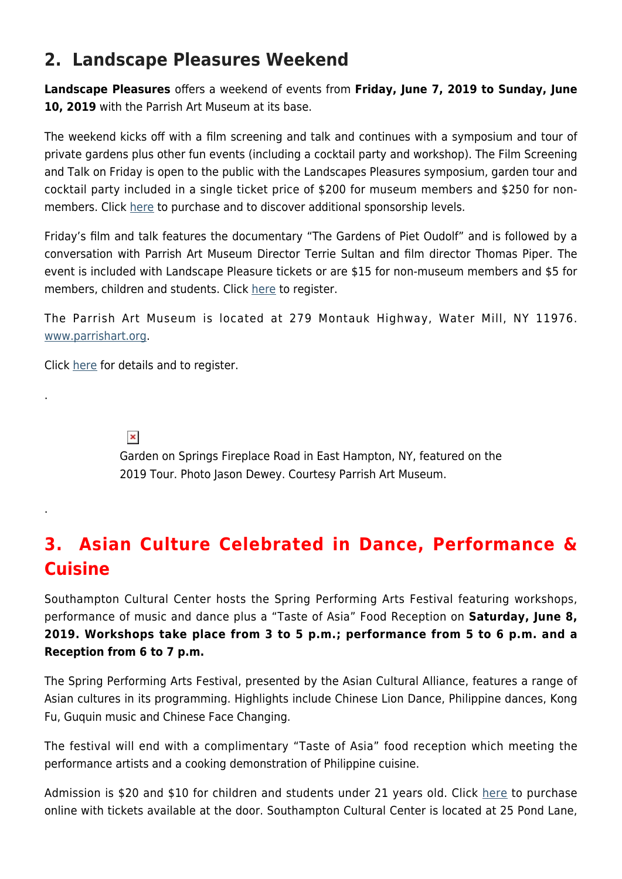### **2. Landscape Pleasures Weekend**

**Landscape Pleasures** offers a weekend of events from **Friday, June 7, 2019 to Sunday, June 10, 2019** with the Parrish Art Museum at its base.

The weekend kicks off with a film screening and talk and continues with a symposium and tour of private gardens plus other fun events (including a cocktail party and workshop). The Film Screening and Talk on Friday is open to the public with the Landscapes Pleasures symposium, garden tour and cocktail party included in a single ticket price of \$200 for museum members and \$250 for nonmembers. Click [here](https://327.blackbaudhosting.com/327/Landscape-Pleasures-2019) to purchase and to discover additional sponsorship levels.

Friday's film and talk features the documentary "The Gardens of Piet Oudolf" and is followed by a conversation with Parrish Art Museum Director Terrie Sultan and film director Thomas Piper. The event is included with Landscape Pleasure tickets or are \$15 for non-museum members and \$5 for members, children and students. Click [here](https://327.blackbaudhosting.com/327/tickets?tab=2&txobjid=97ddf486-b265-442c-ac7f-27be56668ec7) to register.

The Parrish Art Museum is located at 279 Montauk Highway, Water Mill, NY 11976. [www.parrishart.org](https://parrishart.org/).

Click [here](https://parrishart.org/event/landscape-pleasures-2019/2019-06-08/) for details and to register.

 $\pmb{\times}$ 

.

.

Garden on Springs Fireplace Road in East Hampton, NY, featured on the 2019 Tour. Photo Jason Dewey. Courtesy Parrish Art Museum.

### **3. Asian Culture Celebrated in Dance, Performance & Cuisine**

Southampton Cultural Center hosts the Spring Performing Arts Festival featuring workshops, performance of music and dance plus a "Taste of Asia" Food Reception on **Saturday, June 8, 2019. Workshops take place from 3 to 5 p.m.; performance from 5 to 6 p.m. and a Reception from 6 to 7 p.m.** 

The Spring Performing Arts Festival, presented by the Asian Cultural Alliance, features a range of Asian cultures in its programming. Highlights include Chinese Lion Dance, Philippine dances, Kong Fu, Guquin music and Chinese Face Changing.

The festival will end with a complimentary "Taste of Asia" food reception which meeting the performance artists and a cooking demonstration of Philippine cuisine.

Admission is \$20 and \$10 for children and students under 21 years old. Click [here](https://web.ovationtix.com/trs/pe.c/10405420) to purchase online with tickets available at the door. Southampton Cultural Center is located at 25 Pond Lane,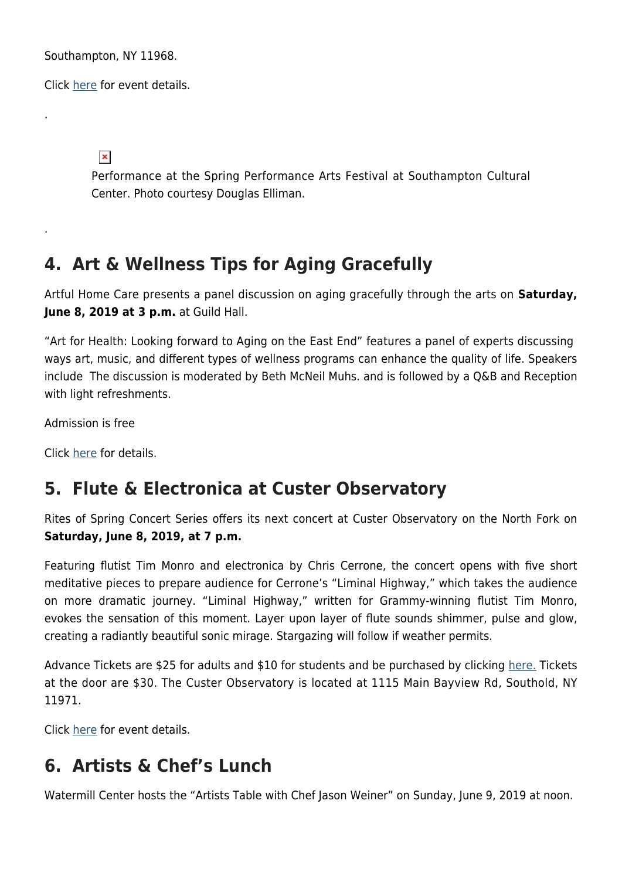Southampton, NY 11968.

Click [here](https://www.scc-arts.org/event/2019-spring-performing-arts-festival/) for event details.

 $\pmb{\times}$ 

.

.

Performance at the Spring Performance Arts Festival at Southampton Cultural Center. Photo courtesy Douglas Elliman.

#### **4. Art & Wellness Tips for Aging Gracefully**

Artful Home Care presents a panel discussion on aging gracefully through the arts on **Saturday, June 8, 2019 at 3 p.m.** at Guild Hall.

"Art for Health: Looking forward to Aging on the East End" features a panel of experts discussing ways art, music, and different types of wellness programs can enhance the quality of life. Speakers include The discussion is moderated by Beth McNeil Muhs. and is followed by a Q&B and Reception with light refreshments.

Admission is free

Click [here](https://www.guildhall.org/events/artful-home-care-presents-art-for-health-lecture-series-looking-forward-to-aging-on-the-east-end/) for details.

#### **5. Flute & Electronica at Custer Observatory**

Rites of Spring Concert Series offers its next concert at Custer Observatory on the North Fork on **Saturday, June 8, 2019, at 7 p.m.**

Featuring flutist Tim Monro and electronica by Chris Cerrone, the concert opens with five short meditative pieces to prepare audience for Cerrone's "Liminal Highway," which takes the audience on more dramatic journey. "Liminal Highway," written for Grammy-winning flutist Tim Monro, evokes the sensation of this moment. Layer upon layer of flute sounds shimmer, pulse and glow, creating a radiantly beautiful sonic mirage. Stargazing will follow if weather permits.

Advance Tickets are \$25 for adults and \$10 for students and be purchased by clicking [here.](https://www.eventbrite.com/e/liminal-highway-tickets-59849586725) Tickets at the door are \$30. The Custer Observatory is located at 1115 Main Bayview Rd, Southold, NY 11971.

Click [here](http://www.custerobservatory.org/) for event details.

## **6. Artists & Chef's Lunch**

Watermill Center hosts the "Artists Table with Chef Jason Weiner" on Sunday, June 9, 2019 at noon.